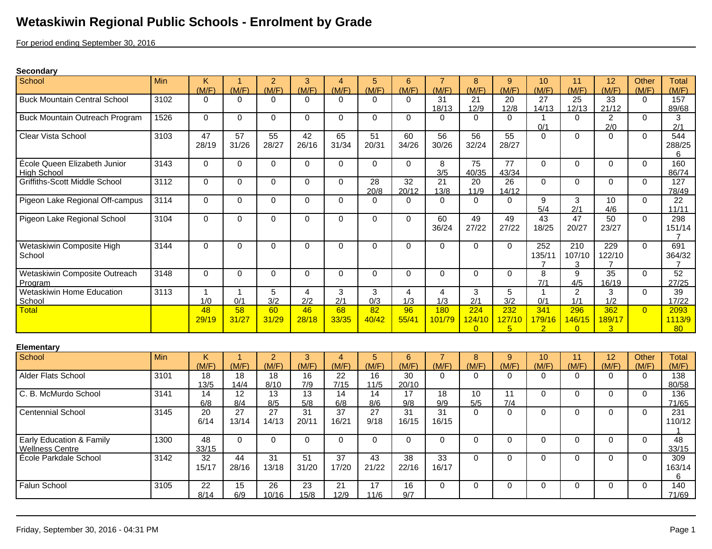## **Wetaskiwin Regional Public Schools - Enrolment by Grade**

For period ending September 30, 2016

## **Secondary**

| School                                             | Min  | K.<br>(M/F)             | -1<br>(M/F)              | 2<br>(M/F)               | 3<br>(M/F)               | 4<br>(M/F)              | 5<br>(M/F)              | 6<br>(M/F)               | (M/F)                          | 8<br>(M/F)                | 9<br>(M/F)                      | 10<br>(M/F)                     | 11<br>(M/F)               | 12<br>(M/F)                     | Other<br>(M/F) | Total<br>(M/F)                  |
|----------------------------------------------------|------|-------------------------|--------------------------|--------------------------|--------------------------|-------------------------|-------------------------|--------------------------|--------------------------------|---------------------------|---------------------------------|---------------------------------|---------------------------|---------------------------------|----------------|---------------------------------|
| <b>Buck Mountain Central School</b>                | 3102 | $\Omega$                | $\Omega$                 | $\Omega$                 | $\Omega$                 | $\Omega$                | $\Omega$                | $\Omega$                 | 31<br>18/13                    | 21<br>12/9                | 20<br>12/8                      | 27<br>14/13                     | 25<br>12/13               | 33<br>21/12                     | $\Omega$       | 157<br>89/68                    |
| <b>Buck Mountain Outreach Program</b>              | 1526 | $\Omega$                | $\Omega$                 | $\mathbf 0$              | $\Omega$                 | $\Omega$                | $\Omega$                | $\Omega$                 | $\Omega$                       | $\Omega$                  | $\Omega$                        | $\mathbf{1}$<br>0/1             | $\Omega$                  | $\overline{2}$<br>2/0           | $\Omega$       | 3<br>2/1                        |
| Clear Vista School                                 | 3103 | 47<br>28/19             | 57<br>31/26              | 55<br>28/27              | 42<br>26/16              | 65<br>31/34             | 51<br>20/31             | 60<br>34/26              | 56<br>30/26                    | 56<br>32/24               | 55<br>28/27                     | $\mathbf 0$                     | $\Omega$                  | $\Omega$                        | $\mathbf{0}$   | 544<br>288/25<br>6              |
| École Queen Elizabeth Junior<br><b>High School</b> | 3143 | $\Omega$                | $\Omega$                 | $\mathbf 0$              | $\mathbf 0$              | $\Omega$                | $\Omega$                | $\Omega$                 | 8<br>3/5                       | 75<br>40/35               | $\overline{77}$<br>43/34        | $\Omega$                        | $\Omega$                  | $\Omega$                        | $\Omega$       | 160<br>86/74                    |
| <b>Griffiths-Scott Middle School</b>               | 3112 | $\Omega$                | $\mathbf 0$              | 0                        | $\mathbf 0$              | $\Omega$                | 28<br>20/8              | 32<br>20/12              | 21<br>13/8                     | 20<br>11/9                | 26<br>14/12                     | $\Omega$                        | $\Omega$                  | $\Omega$                        | $\mathbf 0$    | 127<br>78/49                    |
| Pigeon Lake Regional Off-campus                    | 3114 | $\Omega$                | $\Omega$                 | $\mathbf 0$              | $\mathbf 0$              | $\Omega$                | $\Omega$                | $\Omega$                 | $\Omega$                       | $\Omega$                  | $\Omega$                        | 9<br>5/4                        | 3<br>2/1                  | 10<br>4/6                       | $\Omega$       | 22<br>11/11                     |
| Pigeon Lake Regional School                        | 3104 | $\Omega$                | $\Omega$                 | $\Omega$                 | $\Omega$                 | $\Omega$                | $\Omega$                | $\Omega$                 | 60<br>36/24                    | 49<br>27/22               | 49<br>27/22                     | 43<br>18/25                     | 47<br>20/27               | 50<br>23/27                     | $\Omega$       | 298<br>151/14<br>$\overline{7}$ |
| Wetaskiwin Composite High<br>School                | 3144 | $\Omega$                | $\Omega$                 | $\Omega$                 | $\Omega$                 | $\Omega$                | $\Omega$                | $\Omega$                 | $\Omega$                       | $\Omega$                  | $\Omega$                        | 252<br>135/11<br>$\overline{7}$ | 210<br>107/10<br>3        | 229<br>122/10<br>7              | $\Omega$       | 691<br>364/32<br>$\overline{7}$ |
| Wetaskiwin Composite Outreach<br>Program           | 3148 | $\Omega$                | $\mathbf 0$              | $\mathbf 0$              | $\mathbf 0$              | $\Omega$                | $\mathbf 0$             | $\Omega$                 | $\Omega$                       | $\mathbf{0}$              | $\mathbf 0$                     | $\overline{8}$<br>7/1           | 9<br>4/5                  | 35<br>16/19                     | $\Omega$       | 52<br>27/25                     |
| Wetaskiwin Home Education<br>School                | 3113 | $\mathbf{1}$<br>1/0     | $\mathbf{1}$<br>0/1      | 5<br>3/2                 | $\overline{4}$<br>2/2    | 3<br>2/1                | 3<br>0/3                | $\overline{4}$<br>1/3    | $\overline{\mathbf{4}}$<br>1/3 | 3<br>2/1                  | 5<br>3/2                        | $\mathbf{1}$<br>0/1             | $\overline{2}$<br>1/1     | 3<br>1/2                        | $\Omega$       | 39<br>17/22                     |
| Total                                              |      | 48<br>29/19             | 58<br>31/27              | 60<br>31/29              | 46<br>28/18              | 68<br>33/35             | 82<br>40/42             | 96<br>55/41              | 180<br>101/79                  | 224<br>124/10<br>$\Omega$ | 232<br>127/10<br>$\overline{5}$ | 341<br>179/16<br>$\mathcal{P}$  | 296<br>146/15<br>$\Omega$ | 362<br>189/17<br>$\overline{3}$ | $\overline{0}$ | 2093<br>1113/9<br>80            |
| Elementary                                         |      |                         |                          |                          |                          |                         |                         |                          |                                |                           |                                 |                                 |                           |                                 |                |                                 |
| School                                             | Min  | K<br>(M/F)              | $\overline{1}$<br>(M/F)  | $\overline{2}$<br>(M/F)  | 3<br>(M/F)               | $\overline{4}$<br>(M/F) | $\sqrt{5}$<br>(M/F)     | $6\phantom{1}6$<br>(M/F) | $\overline{7}$<br>(M/F)        | 8<br>(M/F)                | 9<br>(M/F)                      | 10<br>(M/F)                     | 11<br>(M/F)               | 12<br>(M/F)                     | Other<br>(M/F) | <b>Total</b><br>(M/F)           |
| Alder Flats School                                 | 3101 | 18<br>13/5              | 18<br>14/4               | 18<br>8/10               | 16<br>7/9                | 22<br>7/15              | 16<br>$11/5$            | 30<br>20/10              | $\Omega$                       | $\Omega$                  | $\Omega$                        | $\Omega$                        | $\Omega$                  | $\Omega$                        | $\mathbf{0}$   | 138<br>80/58                    |
| C. B. McMurdo School                               | 3141 | 14<br>6/8               | 12<br>8/4                | 13<br>8/5                | 13<br>$5/8$              | 14<br>6/8               | 14<br>8/6               | 17<br>9/8                | 18<br>9/9                      | 10<br>5/5                 | $\overline{11}$<br>7/4          | $\mathbf 0$                     | $\Omega$                  | $\Omega$                        | $\mathbf{0}$   | 136<br>71/65                    |
| <b>Centennial School</b>                           | 3145 | $\overline{20}$<br>6/14 | $\overline{27}$<br>13/14 | $\overline{27}$<br>14/13 | $\overline{31}$<br>20/11 | 37<br>16/21             | $\overline{27}$<br>9/18 | $\overline{31}$<br>16/15 | $\overline{31}$<br>16/15       | $\Omega$                  | $\Omega$                        | $\mathbf 0$                     | $\Omega$                  | $\Omega$                        | $\Omega$       | $\overline{231}$<br>110/12<br>1 |
| Early Education & Family<br><b>Wellness Centre</b> | 1300 | 48<br>33/15             | $\Omega$                 | $\mathbf 0$              | $\mathbf 0$              | $\Omega$                | $\Omega$                | $\Omega$                 | $\Omega$                       | $\Omega$                  | $\mathbf 0$                     | 0                               | $\Omega$                  | $\Omega$                        | $\Omega$       | 48<br>33/15                     |
| École Parkdale School                              | 3142 | 32<br>15/17             | 44<br>28/16              | 31<br>13/18              | 51<br>31/20              | 37<br>17/20             | 43<br>21/22             | 38<br>22/16              | 33<br>16/17                    | $\Omega$                  | $\Omega$                        | $\mathbf 0$                     | $\Omega$                  | $\Omega$                        | $\Omega$       | 309<br>163/14<br>6              |
| Falun School                                       | 3105 | $\overline{22}$<br>8/14 | 15<br>6/9                | 26<br>10/16              | 23<br>15/8               | 21<br>12/9              | 17<br>11/6              | 16<br>9/7                | 0                              | $\Omega$                  | 0                               | 0                               | 0                         | 0                               | $\mathbf 0$    | 140<br>71/69                    |